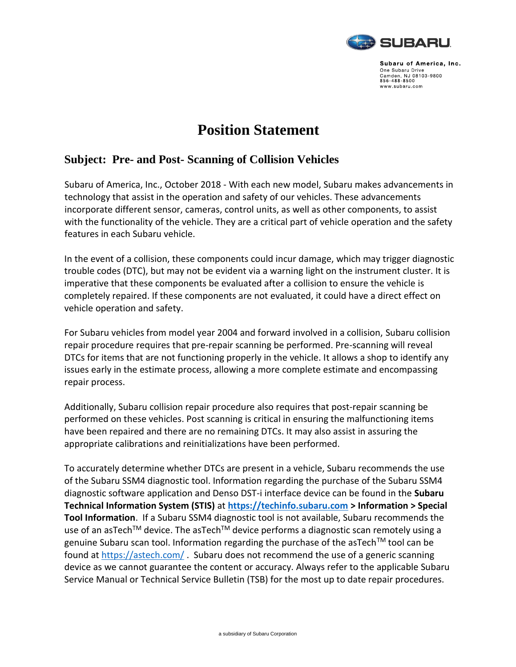

Subaru of America, Inc. One Subaru Drive One Subaru Drive<br>Camden, NJ 08103-9800<br>856-488-8500 www.subaru.com

## **Position Statement**

## **Subject: Pre- and Post- Scanning of Collision Vehicles**

Subaru of America, Inc., October 2018 - With each new model, Subaru makes advancements in technology that assist in the operation and safety of our vehicles. These advancements incorporate different sensor, cameras, control units, as well as other components, to assist with the functionality of the vehicle. They are a critical part of vehicle operation and the safety features in each Subaru vehicle.

In the event of a collision, these components could incur damage, which may trigger diagnostic trouble codes (DTC), but may not be evident via a warning light on the instrument cluster. It is imperative that these components be evaluated after a collision to ensure the vehicle is completely repaired. If these components are not evaluated, it could have a direct effect on vehicle operation and safety.

For Subaru vehicles from model year 2004 and forward involved in a collision, Subaru collision repair procedure requires that pre-repair scanning be performed. Pre-scanning will reveal DTCs for items that are not functioning properly in the vehicle. It allows a shop to identify any issues early in the estimate process, allowing a more complete estimate and encompassing repair process.

Additionally, Subaru collision repair procedure also requires that post-repair scanning be performed on these vehicles. Post scanning is critical in ensuring the malfunctioning items have been repaired and there are no remaining DTCs. It may also assist in assuring the appropriate calibrations and reinitializations have been performed.

To accurately determine whether DTCs are present in a vehicle, Subaru recommends the use of the Subaru SSM4 diagnostic tool. Information regarding the purchase of the Subaru SSM4 diagnostic software application and Denso DST-i interface device can be found in the **Subaru Technical Information System (STIS)** at **[https://techinfo.subaru.com](https://techinfo.subaru.com/) > Information > Special Tool Information**. If a Subaru SSM4 diagnostic tool is not available, Subaru recommends the use of an asTech<sup>TM</sup> device. The asTech<sup>TM</sup> device performs a diagnostic scan remotely using a genuine Subaru scan tool. Information regarding the purchase of the asTech<sup>TM</sup> tool can be found at<https://astech.com/> . Subaru does not recommend the use of a generic scanning device as we cannot guarantee the content or accuracy. Always refer to the applicable Subaru Service Manual or Technical Service Bulletin (TSB) for the most up to date repair procedures.